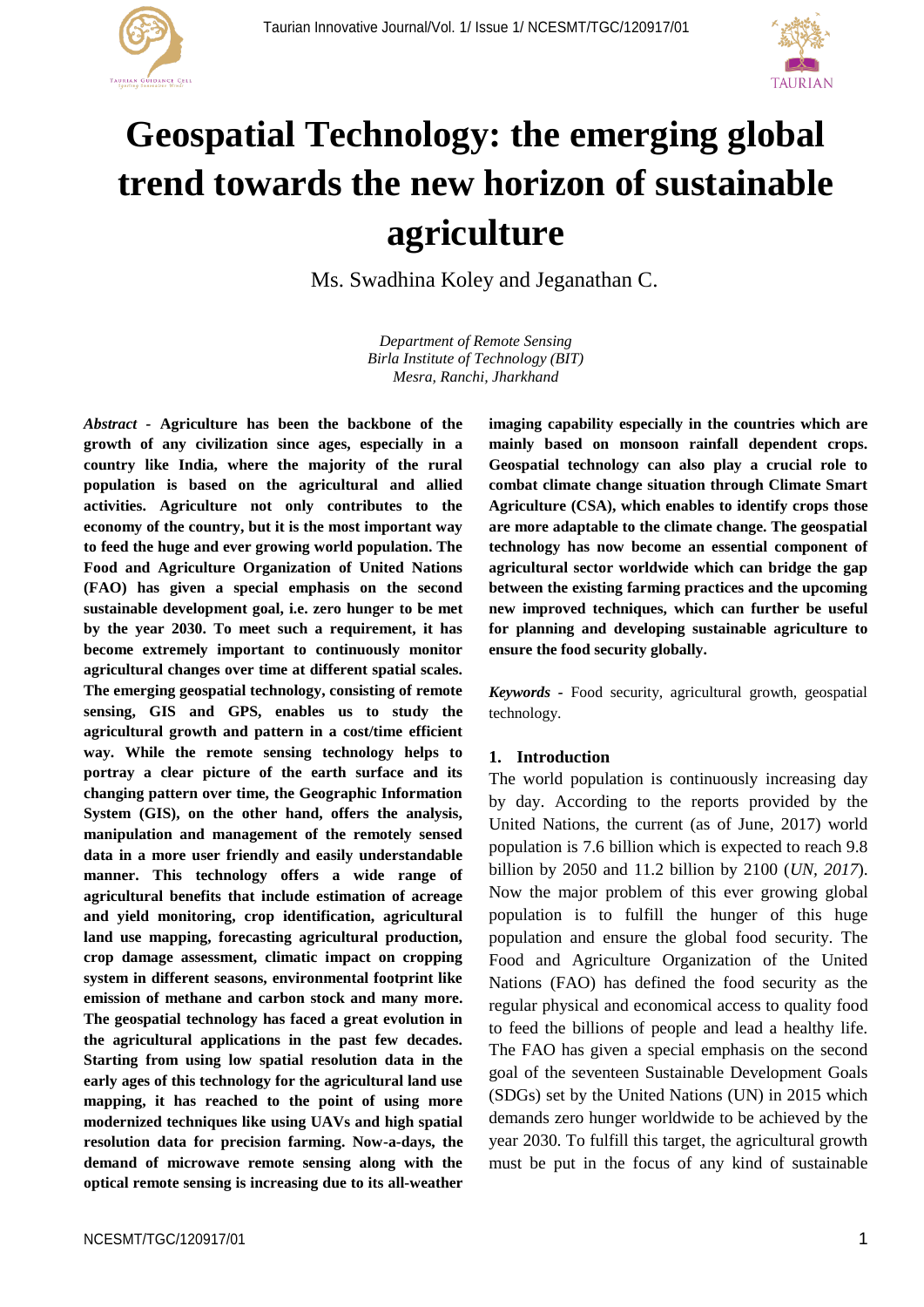



# **Geospatial Technology: the emerging global trend towards the new horizon of sustainable agriculture**

Ms. Swadhina Koley and Jeganathan C.

*Department of Remote Sensing Birla Institute of Technology (BIT) Mesra, Ranchi, Jharkhand*

*Abstract -* **Agriculture has been the backbone of the growth of any civilization since ages, especially in a country like India, where the majority of the rural population is based on the agricultural and allied activities. Agriculture not only contributes to the economy of the country, but it is the most important way to feed the huge and ever growing world population. The Food and Agriculture Organization of United Nations (FAO) has given a special emphasis on the second sustainable development goal, i.e. zero hunger to be met by the year 2030. To meet such a requirement, it has become extremely important to continuously monitor agricultural changes over time at different spatial scales. The emerging geospatial technology, consisting of remote sensing, GIS and GPS, enables us to study the agricultural growth and pattern in a cost/time efficient way. While the remote sensing technology helps to portray a clear picture of the earth surface and its changing pattern over time, the Geographic Information System (GIS), on the other hand, offers the analysis, manipulation and management of the remotely sensed data in a more user friendly and easily understandable**  manner. This technology offers a wide range of **agricultural benefits that include estimation of acreage and yield monitoring, crop identification, agricultural land use mapping, forecasting agricultural production, crop damage assessment, climatic impact on cropping system in different seasons, environmental footprint like emission of methane and carbon stock and many more. The geospatial technology has faced a great evolution in the agricultural applications in the past few decades. Starting from using low spatial resolution data in the early ages of this technology for the agricultural land use mapping, it has reached to the point of using more modernized techniques like using UAVs and high spatial resolution data for precision farming. Now-a-days, the demand of microwave remote sensing along with the optical remote sensing is increasing due to its all-weather**

**Geospatial technology can also play a crucial role to combat climate change situation through Climate Smart Agriculture (CSA), which enables to identify crops those are more adaptable to the climate change. The geospatial technology has now become an essential component of agricultural sector worldwide which can bridge the gap between the existing farming practices and the upcoming new improved techniques, which can further be useful for planning and developing sustainable agriculture to ensure the food security globally.** *Keywords -* Food security, agricultural growth, geospatial technology.

**imaging capability especially in the countries which are mainly based on monsoon rainfall dependent crops.** 

## **1. Introduction**

The world population is continuously increasing day by day. According to the reports provided by the United Nations, the current (as of June, 2017) world population is 7.6 billion which is expected to reach 9.8 billion by 2050 and 11.2 billion by 2100 (*UN, 2017*). Now the major problem of this ever growing global population is to fulfill the hunger of this huge population and ensure the global food security. The Food and Agriculture Organization of the United Nations (FAO) has defined the food security as the regular physical and economical access to quality food to feed the billions of people and lead a healthy life. The FAO has given a special emphasis on the second goal of the seventeen Sustainable Development Goals (SDGs) set by the United Nations (UN) in 2015 which demands zero hunger worldwide to be achieved by the year 2030. To fulfill this target, the agricultural growth must be put in the focus of any kind of sustainable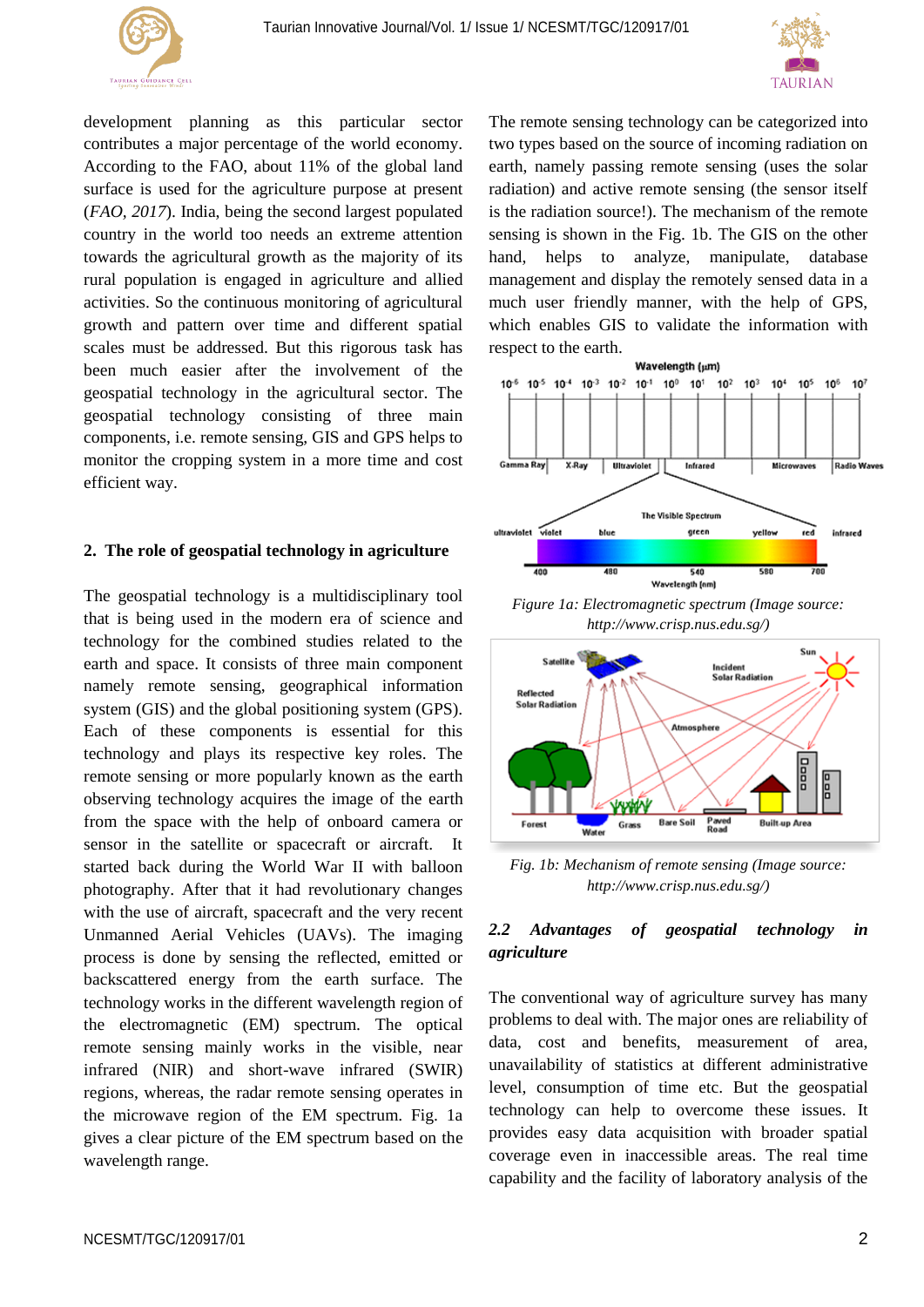



development planning as this particular sector contributes a major percentage of the world economy. According to the FAO, about 11% of the global land surface is used for the agriculture purpose at present (*FAO, 2017*). India, being the second largest populated country in the world too needs an extreme attention towards the agricultural growth as the majority of its rural population is engaged in agriculture and allied activities. So the continuous monitoring of agricultural growth and pattern over time and different spatial scales must be addressed. But this rigorous task has been much easier after the involvement of the geospatial technology in the agricultural sector. The geospatial technology consisting of three main components, i.e. remote sensing, GIS and GPS helps to monitor the cropping system in a more time and cost efficient way.

## **2. The role of geospatial technology in agriculture**

The geospatial technology is a multidisciplinary tool that is being used in the modern era of science and technology for the combined studies related to the earth and space. It consists of three main component namely remote sensing, geographical information system (GIS) and the global positioning system (GPS). Each of these components is essential for this technology and plays its respective key roles. The remote sensing or more popularly known as the earth observing technology acquires the image of the earth from the space with the help of onboard camera or sensor in the satellite or spacecraft or aircraft. It started back during the World War II with balloon photography. After that it had revolutionary changes with the use of aircraft, spacecraft and the very recent Unmanned Aerial Vehicles (UAVs). The imaging process is done by sensing the reflected, emitted or backscattered energy from the earth surface. The technology works in the different wavelength region of the electromagnetic (EM) spectrum. The optical remote sensing mainly works in the visible, near infrared (NIR) and short-wave infrared (SWIR) regions, whereas, the radar remote sensing operates in the microwave region of the EM spectrum. Fig. 1a gives a clear picture of the EM spectrum based on the wavelength range.

The remote sensing technology can be categorized into two types based on the source of incoming radiation on earth, namely passing remote sensing (uses the solar radiation) and active remote sensing (the sensor itself is the radiation source!). The mechanism of the remote sensing is shown in the Fig. 1b. The GIS on the other hand, helps to analyze, manipulate, database management and display the remotely sensed data in a much user friendly manner, with the help of GPS, which enables GIS to validate the information with respect to the earth.



*Figure 1a: Electromagnetic spectrum (Image source: http://www.crisp.nus.edu.sg/)*



*Fig. 1b: Mechanism of remote sensing (Image source: http://www.crisp.nus.edu.sg/)*

# *2.2 Advantages of geospatial technology in agriculture*

The conventional way of agriculture survey has many problems to deal with. The major ones are reliability of data, cost and benefits, measurement of area, unavailability of statistics at different administrative level, consumption of time etc. But the geospatial technology can help to overcome these issues. It provides easy data acquisition with broader spatial coverage even in inaccessible areas. The real time capability and the facility of laboratory analysis of the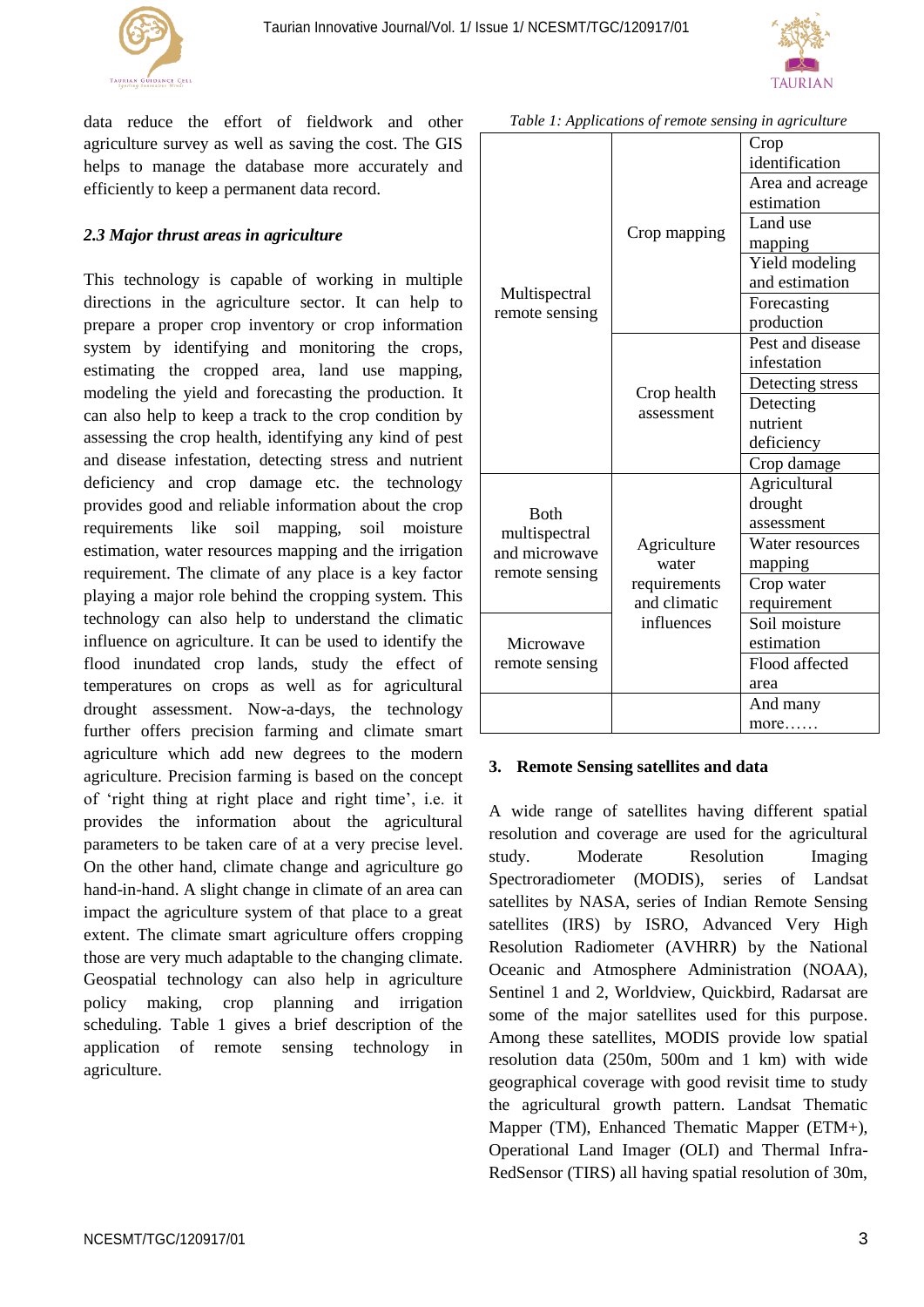



data reduce the effort of fieldwork and other agriculture survey as well as saving the cost. The GIS helps to manage the database more accurately and efficiently to keep a permanent data record.

# *2.3 Major thrust areas in agriculture*

This technology is capable of working in multiple directions in the agriculture sector. It can help to prepare a proper crop inventory or crop information system by identifying and monitoring the crops, estimating the cropped area, land use mapping, modeling the yield and forecasting the production. It can also help to keep a track to the crop condition by assessing the crop health, identifying any kind of pest and disease infestation, detecting stress and nutrient deficiency and crop damage etc. the technology provides good and reliable information about the crop requirements like soil mapping, soil moisture estimation, water resources mapping and the irrigation requirement. The climate of any place is a key factor playing a major role behind the cropping system. This technology can also help to understand the climatic influence on agriculture. It can be used to identify the flood inundated crop lands, study the effect of temperatures on crops as well as for agricultural drought assessment. Now-a-days, the technology further offers precision farming and climate smart agriculture which add new degrees to the modern agriculture. Precision farming is based on the concept of 'right thing at right place and right time', i.e. it provides the information about the agricultural parameters to be taken care of at a very precise level. On the other hand, climate change and agriculture go hand-in-hand. A slight change in climate of an area can impact the agriculture system of that place to a great extent. The climate smart agriculture offers cropping those are very much adaptable to the changing climate. Geospatial technology can also help in agriculture policy making, crop planning and irrigation scheduling. Table 1 gives a brief description of the application of remote sensing technology in agriculture.

| $\ldots$                                                         |                                                                    |                  |
|------------------------------------------------------------------|--------------------------------------------------------------------|------------------|
| Multispectral<br>remote sensing                                  | Crop mapping                                                       | Crop             |
|                                                                  |                                                                    | identification   |
|                                                                  |                                                                    | Area and acreage |
|                                                                  |                                                                    | estimation       |
|                                                                  |                                                                    | Land use         |
|                                                                  |                                                                    | mapping          |
|                                                                  |                                                                    | Yield modeling   |
|                                                                  |                                                                    | and estimation   |
|                                                                  |                                                                    | Forecasting      |
|                                                                  |                                                                    | production       |
|                                                                  | Crop health<br>assessment                                          | Pest and disease |
|                                                                  |                                                                    | infestation      |
|                                                                  |                                                                    | Detecting stress |
|                                                                  |                                                                    | Detecting        |
|                                                                  |                                                                    | nutrient         |
|                                                                  |                                                                    | deficiency       |
|                                                                  |                                                                    | Crop damage      |
| <b>B</b> oth<br>multispectral<br>and microwave<br>remote sensing | Agriculture<br>water<br>requirements<br>and climatic<br>influences | Agricultural     |
|                                                                  |                                                                    | drought          |
|                                                                  |                                                                    | assessment       |
|                                                                  |                                                                    | Water resources  |
|                                                                  |                                                                    | mapping          |
|                                                                  |                                                                    | Crop water       |
|                                                                  |                                                                    | requirement      |
| Microwave<br>remote sensing                                      |                                                                    | Soil moisture    |
|                                                                  |                                                                    | estimation       |
|                                                                  |                                                                    | Flood affected   |
|                                                                  |                                                                    | area             |
|                                                                  |                                                                    | And many         |
|                                                                  |                                                                    | more             |

*Table 1: Applications of remote sensing in agriculture*

#### **3. Remote Sensing satellites and data**

A wide range of satellites having different spatial resolution and coverage are used for the agricultural study. Moderate Resolution Imaging Spectroradiometer (MODIS), series of Landsat satellites by NASA, series of Indian Remote Sensing satellites (IRS) by ISRO, Advanced Very High Resolution Radiometer (AVHRR) by the National Oceanic and Atmosphere Administration (NOAA), Sentinel 1 and 2, Worldview, Quickbird, Radarsat are some of the major satellites used for this purpose. Among these satellites, MODIS provide low spatial resolution data (250m, 500m and 1 km) with wide geographical coverage with good revisit time to study the agricultural growth pattern. Landsat Thematic Mapper (TM), Enhanced Thematic Mapper (ETM+), Operational Land Imager (OLI) and Thermal Infra-RedSensor (TIRS) all having spatial resolution of 30m,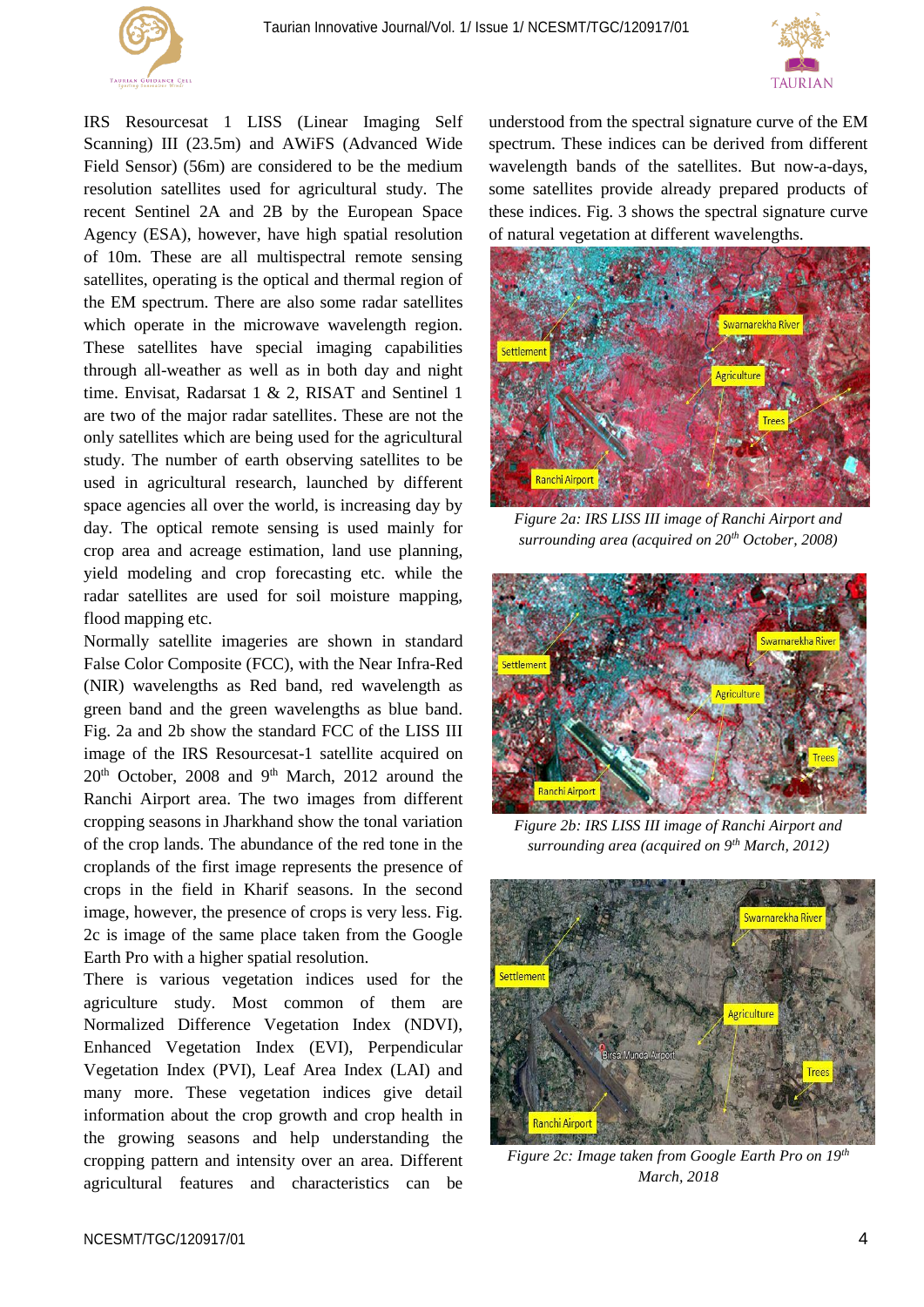



IRS Resourcesat 1 LISS (Linear Imaging Self Scanning) III (23.5m) and AWiFS (Advanced Wide Field Sensor) (56m) are considered to be the medium resolution satellites used for agricultural study. The recent Sentinel 2A and 2B by the European Space Agency (ESA), however, have high spatial resolution of 10m. These are all multispectral remote sensing satellites, operating is the optical and thermal region of the EM spectrum. There are also some radar satellites which operate in the microwave wavelength region. These satellites have special imaging capabilities through all-weather as well as in both day and night time. Envisat, Radarsat 1 & 2, RISAT and Sentinel 1 are two of the major radar satellites. These are not the only satellites which are being used for the agricultural study. The number of earth observing satellites to be used in agricultural research, launched by different space agencies all over the world, is increasing day by day. The optical remote sensing is used mainly for crop area and acreage estimation, land use planning, yield modeling and crop forecasting etc. while the radar satellites are used for soil moisture mapping, flood mapping etc.

Normally satellite imageries are shown in standard False Color Composite (FCC), with the Near Infra-Red (NIR) wavelengths as Red band, red wavelength as green band and the green wavelengths as blue band. Fig. 2a and 2b show the standard FCC of the LISS III image of the IRS Resourcesat-1 satellite acquired on 20<sup>th</sup> October, 2008 and 9<sup>th</sup> March, 2012 around the Ranchi Airport area. The two images from different cropping seasons in Jharkhand show the tonal variation of the crop lands. The abundance of the red tone in the croplands of the first image represents the presence of crops in the field in Kharif seasons. In the second image, however, the presence of crops is very less. Fig. 2c is image of the same place taken from the Google Earth Pro with a higher spatial resolution.

There is various vegetation indices used for the agriculture study. Most common of them are Normalized Difference Vegetation Index (NDVI), Enhanced Vegetation Index (EVI), Perpendicular Vegetation Index (PVI), Leaf Area Index (LAI) and many more. These vegetation indices give detail information about the crop growth and crop health in the growing seasons and help understanding the cropping pattern and intensity over an area. Different agricultural features and characteristics can be

understood from the spectral signature curve of the EM spectrum. These indices can be derived from different wavelength bands of the satellites. But now-a-days, some satellites provide already prepared products of these indices. Fig. 3 shows the spectral signature curve of natural vegetation at different wavelengths.



*Figure 2a: IRS LISS III image of Ranchi Airport and surrounding area (acquired on 20th October, 2008)*



*Figure 2b: IRS LISS III image of Ranchi Airport and surrounding area (acquired on 9th March, 2012)*



*Figure 2c: Image taken from Google Earth Pro on 19th March, 2018*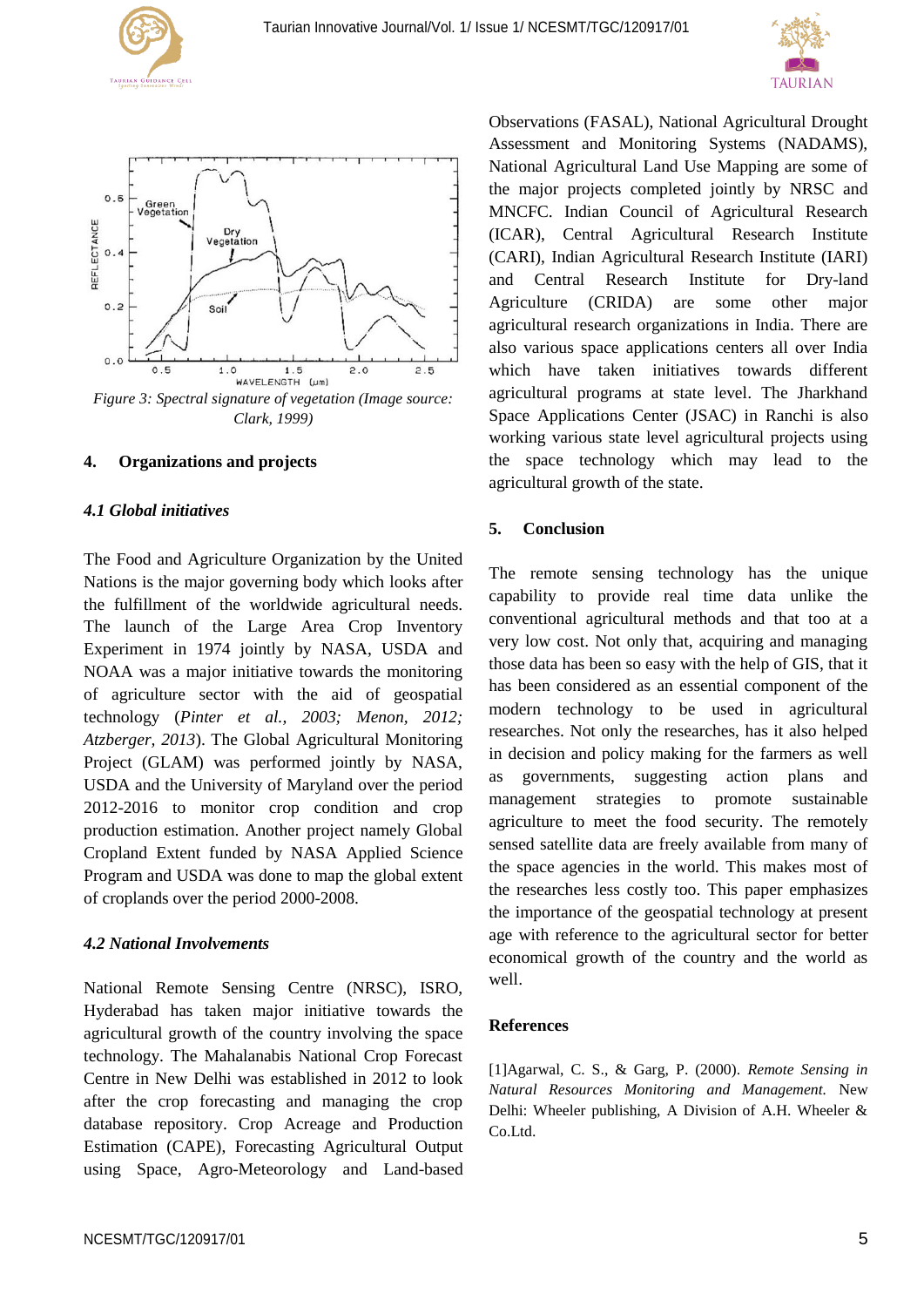





*Figure 3: Spectral signature of vegetation (Image source: Clark, 1999)*

#### **4. Organizations and projects**

# *4.1 Global initiatives*

The Food and Agriculture Organization by the United Nations is the major governing body which looks after the fulfillment of the worldwide agricultural needs. The launch of the Large Area Crop Inventory Experiment in 1974 jointly by NASA, USDA and NOAA was a major initiative towards the monitoring of agriculture sector with the aid of geospatial technology (*Pinter et al., 2003; Menon, 2012; Atzberger, 2013*). The Global Agricultural Monitoring Project (GLAM) was performed jointly by NASA, USDA and the University of Maryland over the period 2012-2016 to monitor crop condition and crop production estimation. Another project namely Global Cropland Extent funded by NASA Applied Science Program and USDA was done to map the global extent of croplands over the period 2000-2008.

#### *4.2 National Involvements*

National Remote Sensing Centre (NRSC), ISRO, Hyderabad has taken major initiative towards the agricultural growth of the country involving the space technology. The Mahalanabis National Crop Forecast Centre in New Delhi was established in 2012 to look after the crop forecasting and managing the crop database repository. Crop Acreage and Production Estimation (CAPE), Forecasting Agricultural Output using Space, Agro-Meteorology and Land-based

Observations (FASAL), National Agricultural Drought Assessment and Monitoring Systems (NADAMS), National Agricultural Land Use Mapping are some of the major projects completed jointly by NRSC and MNCFC. Indian Council of Agricultural Research (ICAR), Central Agricultural Research Institute (CARI), Indian Agricultural Research Institute (IARI) and Central Research Institute for Dry-land Agriculture (CRIDA) are some other major agricultural research organizations in India. There are also various space applications centers all over India which have taken initiatives towards different agricultural programs at state level. The Jharkhand Space Applications Center (JSAC) in Ranchi is also working various state level agricultural projects using the space technology which may lead to the agricultural growth of the state.

# **5. Conclusion**

The remote sensing technology has the unique capability to provide real time data unlike the conventional agricultural methods and that too at a very low cost. Not only that, acquiring and managing those data has been so easy with the help of GIS, that it has been considered as an essential component of the modern technology to be used in agricultural researches. Not only the researches, has it also helped in decision and policy making for the farmers as well as governments, suggesting action plans and management strategies to promote sustainable agriculture to meet the food security. The remotely sensed satellite data are freely available from many of the space agencies in the world. This makes most of the researches less costly too. This paper emphasizes the importance of the geospatial technology at present age with reference to the agricultural sector for better economical growth of the country and the world as well.

#### **References**

[1]Agarwal, C. S., & Garg, P. (2000). *Remote Sensing in Natural Resources Monitoring and Management.* New Delhi: Wheeler publishing, A Division of A.H. Wheeler & Co.Ltd.